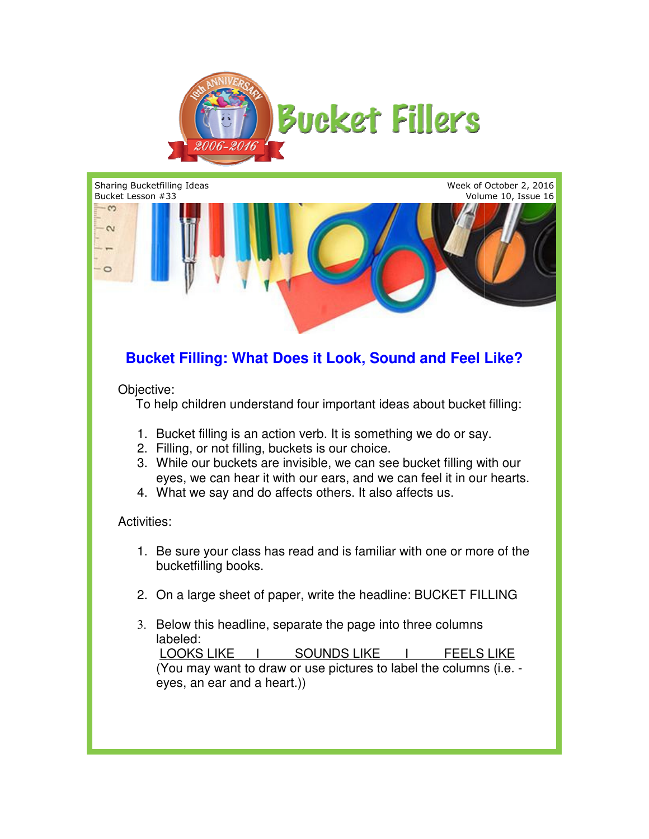



## **Bucket Filling: What Does it Look, Sound and Feel Like? Bucket Like?**

Objective:

To help children understand four important ideas about bucket filling:

- To help children understand four important ideas about bucket fi<br>1. Bucket filling is an action verb. It is something we do or say.
- 2. Filling, or not filling, buckets is our choice.
- 2. Filling, or not filling, buckets is our choice.<br>3. While our buckets are invisible, we can see bucket filling with our eyes, we can hear it with our ears, and we can feel it in our hearts.
- eyes, we can hear it with our ears, and we can feel it in<br>4. What we say and do affects others. It also affects us.

## Activities:

- 1. Be sure your class has read and is familiar with one or more of the bucketfilling books. can see bucket filling with our<br>and we can feel it in our hearts<br>It also affects us.<br>familiar with one or more of the<br>present in the columns<br>LIKE To the columns<br>(i.e. -
- 2. On a large sheet of paper, write the headline: BUCKET FILLING
- 3. Below this headline, separate the page into three columns labeled: Be sure your class has read and is familiar with one or more of the<br>bucketfilling books.<br>On a large sheet of paper, write the headline: BUCKET FILLING<br>Below this headline, separate the page into three columns<br>labeled:<br><u>LOO</u>

 LOOKS LIKE (You may want to draw or use pictures to label the columns (i.e. eyes, an ear and a heart.))